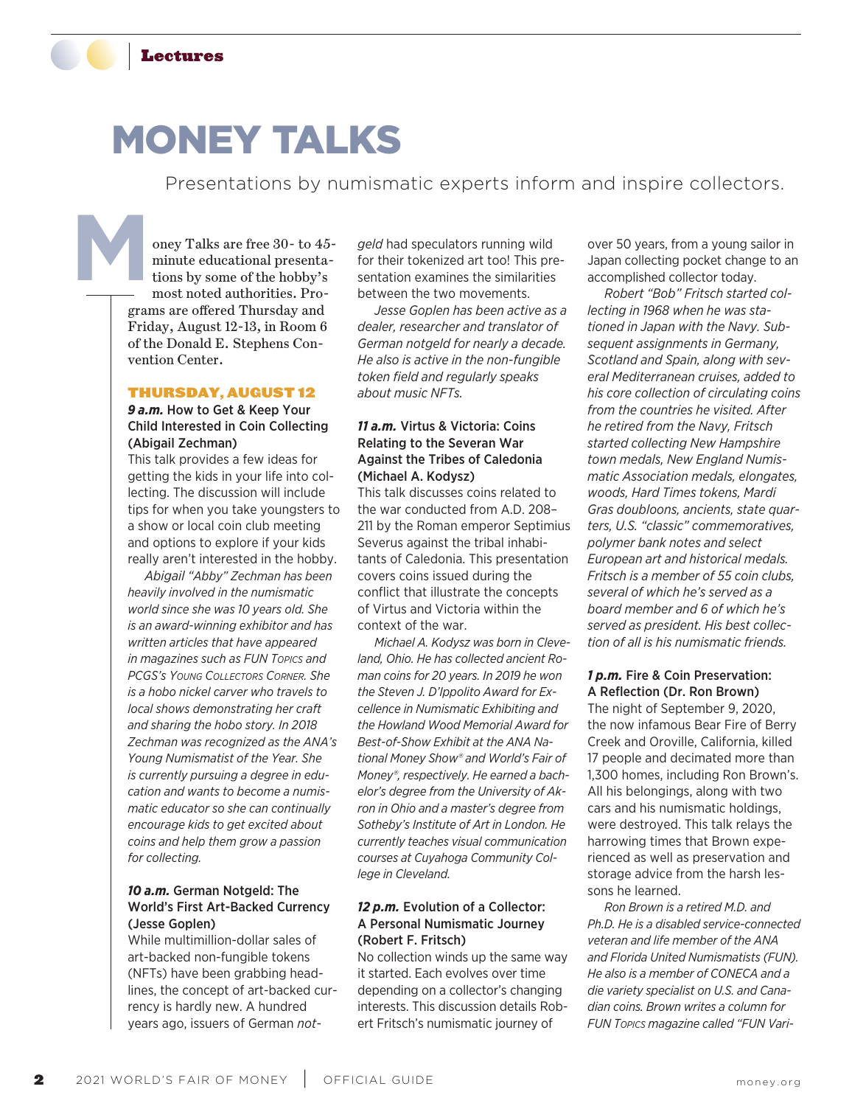

# MONEY TALKS

Presentations by numismatic experts inform and inspire collectors.

oney Talks are free 30- to 45 minute educational presentations by some of the hobby's most noted authorities. Programs are offered Thursday and Friday, August 12-13, in Room 6 of the Donald E. Stephens Convention Center. **M**

#### THURSDAY, AUGUST 12

*9 a.m.* How to Get & Keep Your Child Interested in Coin Collecting (Abigail Zechman)

This talk provides a few ideas for getting the kids in your life into collecting. The discussion will include tips for when you take youngsters to a show or local coin club meeting and options to explore if your kids really aren't interested in the hobby.

*Abigail "Abby" Zechman has been heavily involved in the numismatic world since she was 10 years old. She is an award-winning exhibitor and has written articles that have appeared in magazines such as FUN Topics and PCGS's Young Collectors Corner. She is a hobo nickel carver who travels to local shows demonstrating her craft and sharing the hobo story. In 2018 Zechman was recognized as the ANA's Young Numismatist of the Year. She is currently pursuing a degree in education and wants to become a numismatic educator so she can continually encourage kids to get excited about coins and help them grow a passion for collecting.*

# *10 a.m.* German Notgeld: The World's First Art-Backed Currency (Jesse Goplen)

While multimillion-dollar sales of art-backed non-fungible tokens (NFTs) have been grabbing headlines, the concept of art-backed currency is hardly new. A hundred years ago, issuers of German *not-* *geld* had speculators running wild for their tokenized art too! This presentation examines the similarities between the two movements.

*Jesse Goplen has been active as a dealer, researcher and translator of German notgeld for nearly a decade. He also is active in the non-fungible token field and regularly speaks about music NFTs.*

### *11 a.m.* Virtus & Victoria: Coins Relating to the Severan War Against the Tribes of Caledonia (Michael A. Kodysz)

This talk discusses coins related to the war conducted from A.D. 208– 211 by the Roman emperor Septimius Severus against the tribal inhabitants of Caledonia. This presentation covers coins issued during the conflict that illustrate the concepts of Virtus and Victoria within the context of the war.

*Michael A. Kodysz was born in Cleveland, Ohio. He has collected ancient Roman coins for 20 years. In 2019 he won the Steven J. D'Ippolito Award for Excellence in Numismatic Exhibiting and the Howland Wood Memorial Award for Best-of-Show Exhibit at the ANA National Money Show® and World's Fair of Money®, respectively. He earned a bachelor's degree from the University of Akron in Ohio and a master's degree from Sotheby's Institute of Art in London. He currently teaches visual communication courses at Cuyahoga Community College in Cleveland.*

#### *12 p.m.* Evolution of a Collector: A Personal Numismatic Journey (Robert F. Fritsch)

No collection winds up the same way it started. Each evolves over time depending on a collector's changing interests. This discussion details Robert Fritsch's numismatic journey of

over 50 years, from a young sailor in Japan collecting pocket change to an accomplished collector today.

*Robert "Bob" Fritsch started collecting in 1968 when he was stationed in Japan with the Navy. Subsequent assignments in Germany, Scotland and Spain, along with several Mediterranean cruises, added to his core collection of circulating coins from the countries he visited. After he retired from the Navy, Fritsch started collecting New Hampshire town medals, New England Numismatic Association medals, elongates, woods, Hard Times tokens, Mardi Gras doubloons, ancients, state quarters, U.S. "classic" commemoratives, polymer bank notes and select European art and historical medals. Fritsch is a member of 55 coin clubs, several of which he's served as a board member and 6 of which he's served as president. His best collection of all is his numismatic friends.*

#### *1 p.m.* Fire & Coin Preservation: A Reflection (Dr. Ron Brown)

The night of September 9, 2020, the now infamous Bear Fire of Berry Creek and Oroville, California, killed 17 people and decimated more than 1,300 homes, including Ron Brown's. All his belongings, along with two cars and his numismatic holdings, were destroyed. This talk relays the harrowing times that Brown experienced as well as preservation and storage advice from the harsh lessons he learned.

*Ron Brown is a retired M.D. and Ph.D. He is a disabled service-connected veteran and life member of the ANA and Florida United Numismatists (FUN). He also is a member of CONECA and a die variety specialist on U.S. and Canadian coins. Brown writes a column for FUN Topics magazine called "FUN Vari-*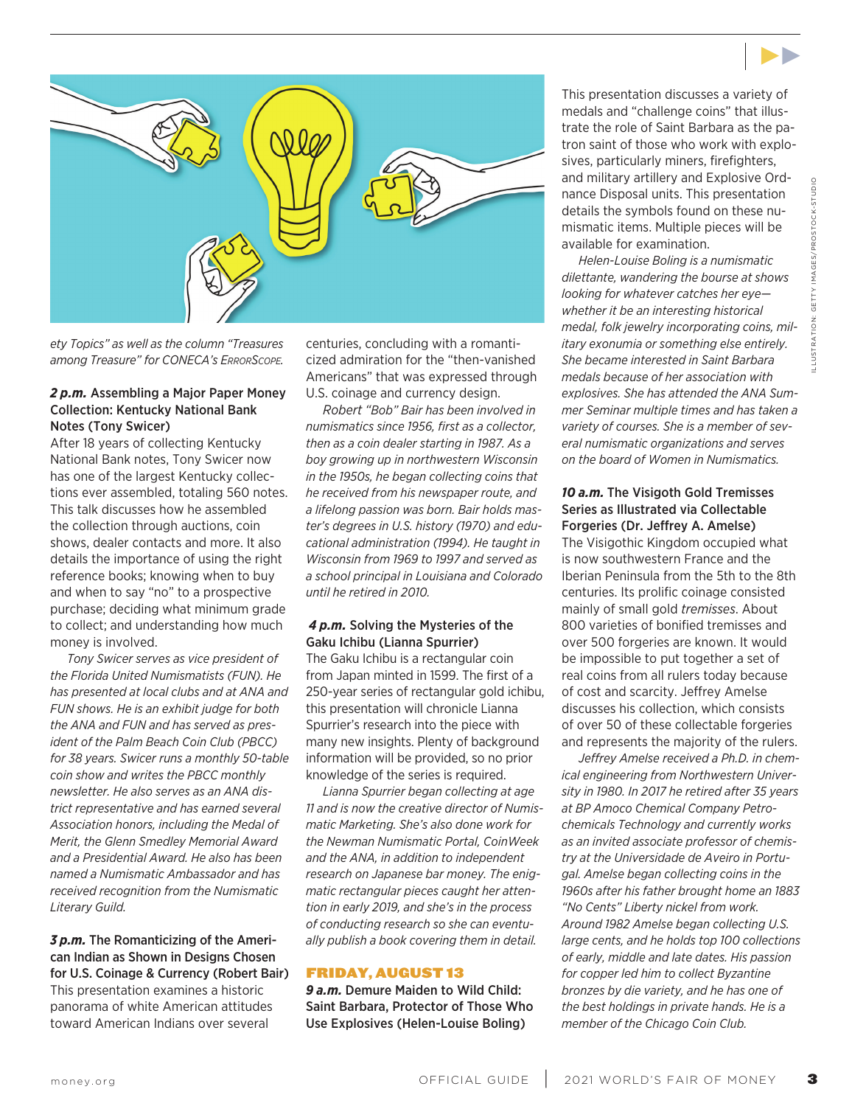



*ety Topics" as well as the column "Treasures among Treasure" for CONECA's ErrorScope.*

#### *2 p.m.* Assembling a Major Paper Money Collection: Kentucky National Bank Notes (Tony Swicer)

After 18 years of collecting Kentucky National Bank notes, Tony Swicer now has one of the largest Kentucky collections ever assembled, totaling 560 notes. This talk discusses how he assembled the collection through auctions, coin shows, dealer contacts and more. It also details the importance of using the right reference books; knowing when to buy and when to say "no" to a prospective purchase; deciding what minimum grade to collect; and understanding how much money is involved.

*Tony Swicer serves as vice president of the Florida United Numismatists (FUN). He has presented at local clubs and at ANA and FUN shows. He is an exhibit judge for both the ANA and FUN and has served as president of the Palm Beach Coin Club (PBCC) for 38 years. Swicer runs a monthly 50-table coin show and writes the PBCC monthly newsletter. He also serves as an ANA district representative and has earned several Association honors, including the Medal of Merit, the Glenn Smedley Memorial Award and a Presidential Award. He also has been named a Numismatic Ambassador and has received recognition from the Numismatic Literary Guild.* 

#### *3 p.m.* The Romanticizing of the American Indian as Shown in Designs Chosen for U.S. Coinage & Currency (Robert Bair) This presentation examines a historic panorama of white American attitudes toward American Indians over several

centuries, concluding with a romanticized admiration for the "then-vanished Americans" that was expressed through U.S. coinage and currency design.

*Robert "Bob" Bair has been involved in numismatics since 1956, first as a collector, then as a coin dealer starting in 1987. As a boy growing up in northwestern Wisconsin in the 1950s, he began collecting coins that he received from his newspaper route, and a lifelong passion was born. Bair holds master's degrees in U.S. history (1970) and educational administration (1994). He taught in Wisconsin from 1969 to 1997 and served as a school principal in Louisiana and Colorado until he retired in 2010.*

#### *4 p.m.* Solving the Mysteries of the Gaku Ichibu (Lianna Spurrier)

The Gaku Ichibu is a rectangular coin from Japan minted in 1599. The first of a 250-year series of rectangular gold ichibu, this presentation will chronicle Lianna Spurrier's research into the piece with many new insights. Plenty of background information will be provided, so no prior knowledge of the series is required.

*Lianna Spurrier began collecting at age 11 and is now the creative director of Numismatic Marketing. She's also done work for the Newman Numismatic Portal, CoinWeek and the ANA, in addition to independent research on Japanese bar money. The enigmatic rectangular pieces caught her attention in early 2019, and she's in the process of conducting research so she can eventually publish a book covering them in detail.*

#### FRIDAY, AUGUST 13

*9 a.m.* Demure Maiden to Wild Child: Saint Barbara, Protector of Those Who Use Explosives (Helen-Louise Boling)

This presentation discusses a variety of medals and "challenge coins" that illustrate the role of Saint Barbara as the patron saint of those who work with explosives, particularly miners, firefighters, and military artillery and Explosive Ordnance Disposal units. This presentation details the symbols found on these numismatic items. Multiple pieces will be available for examination.

*Helen-Louise Boling is a numismatic dilettante, wandering the bourse at shows looking for whatever catches her eye whether it be an interesting historical medal, folk jewelry incorporating coins, military exonumia or something else entirely. She became interested in Saint Barbara medals because of her association with explosives. She has attended the ANA Summer Seminar multiple times and has taken a variety of courses. She is a member of several numismatic organizations and serves on the board of Women in Numismatics.*

#### *10 a.m.* The Visigoth Gold Tremisses Series as Illustrated via Collectable Forgeries (Dr. Jeffrey A. Amelse)

The Visigothic Kingdom occupied what is now southwestern France and the Iberian Peninsula from the 5th to the 8th centuries. Its prolific coinage consisted mainly of small gold *tremisses*. About 800 varieties of bonified tremisses and over 500 forgeries are known. It would be impossible to put together a set of real coins from all rulers today because of cost and scarcity. Jeffrey Amelse discusses his collection, which consists of over 50 of these collectable forgeries and represents the majority of the rulers.

*Jeffrey Amelse received a Ph.D. in chemical engineering from Northwestern University in 1980. In 2017 he retired after 35 years at BP Amoco Chemical Company Petrochemicals Technology and currently works as an invited associate professor of chemistry at the Universidade de Aveiro in Portugal. Amelse began collecting coins in the 1960s after his father brought home an 1883 "No Cents" Liberty nickel from work. Around 1982 Amelse began collecting U.S. large cents, and he holds top 100 collections of early, middle and late dates. His passion for copper led him to collect Byzantine bronzes by die variety, and he has one of the best holdings in private hands. He is a member of the Chicago Coin Club.*